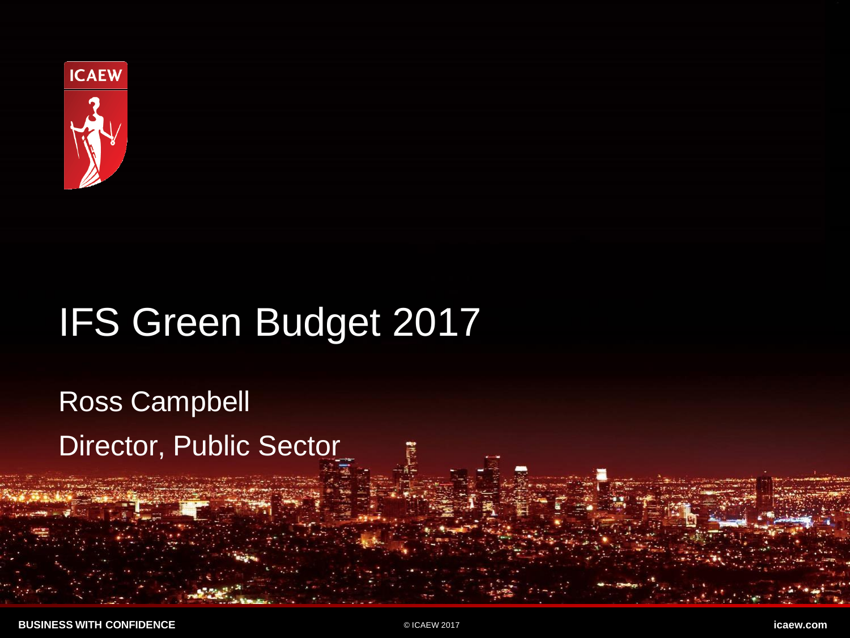

# IFS Green Budget 2017

Ross Campbell Director, Public Sector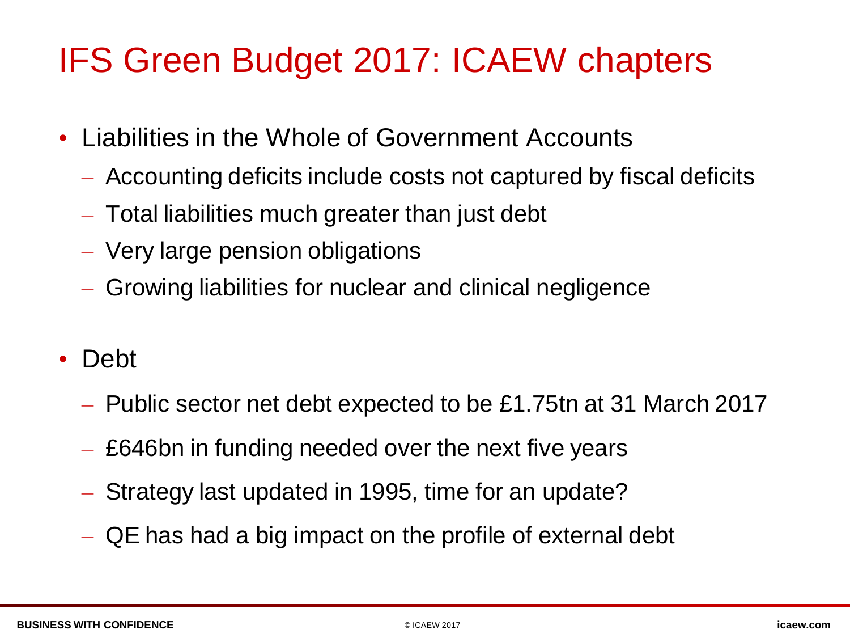### IFS Green Budget 2017: ICAEW chapters

- Liabilities in the Whole of Government Accounts
	- Accounting deficits include costs not captured by fiscal deficits
	- Total liabilities much greater than just debt
	- Very large pension obligations
	- Growing liabilities for nuclear and clinical negligence
- Debt
	- Public sector net debt expected to be £1.75tn at 31 March 2017
	- £646bn in funding needed over the next five years
	- Strategy last updated in 1995, time for an update?
	- QE has had a big impact on the profile of external debt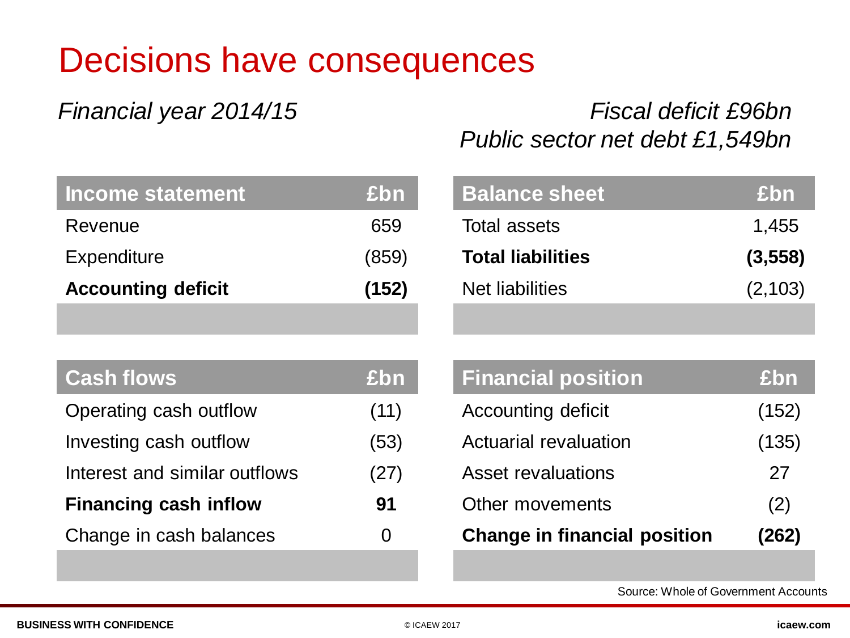### Decisions have consequences

#### *Financial year 2014/15 Fiscal deficit £96bn Public sector net debt £1,549bn*

| Income statement          | <b>£bn</b> |
|---------------------------|------------|
| Revenue                   | 659        |
| <b>Expenditure</b>        | (859)      |
| <b>Accounting deficit</b> | (152)      |
|                           |            |

| <b>Cash flows</b>             | £bn  |
|-------------------------------|------|
| Operating cash outflow        | (11) |
| Investing cash outflow        | (53) |
| Interest and similar outflows | (27) |
| <b>Financing cash inflow</b>  | 91   |
| Change in cash balances       | O    |
|                               |      |

| <b>Balance sheet</b>     | <b>£bn</b> |
|--------------------------|------------|
| Total assets             | 1,455      |
| <b>Total liabilities</b> | (3, 558)   |
| Net liabilities          | (2, 103)   |
|                          |            |

| <b>Financial position</b>           | £bn   |
|-------------------------------------|-------|
| <b>Accounting deficit</b>           | (152) |
| Actuarial revaluation               | (135) |
| Asset revaluations                  | 27    |
| Other movements                     | (2)   |
| <b>Change in financial position</b> | (262) |

Source: Whole of Government Accounts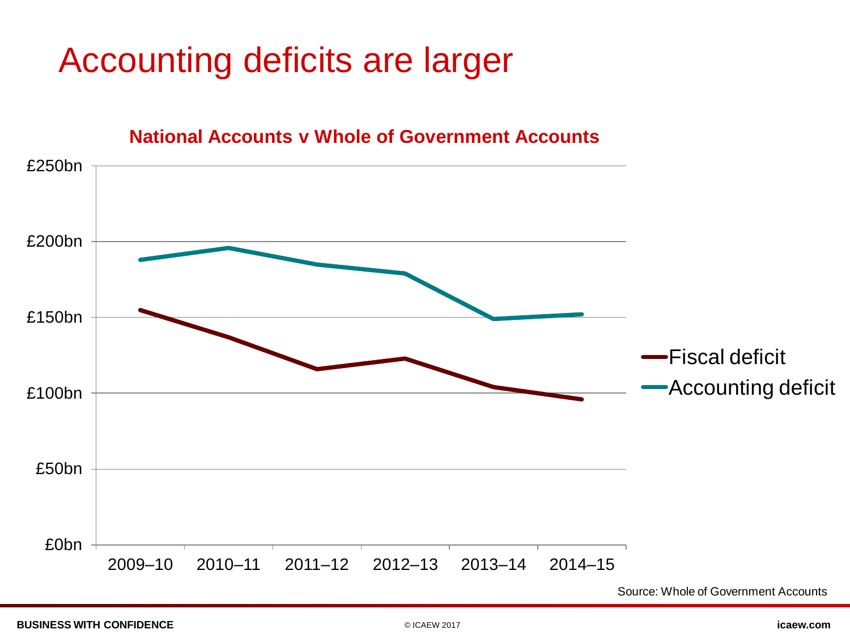### Accounting deficits are larger



**BUSINESS WITH CONFIDENCE** © ICAEW 2017 **icaew.com**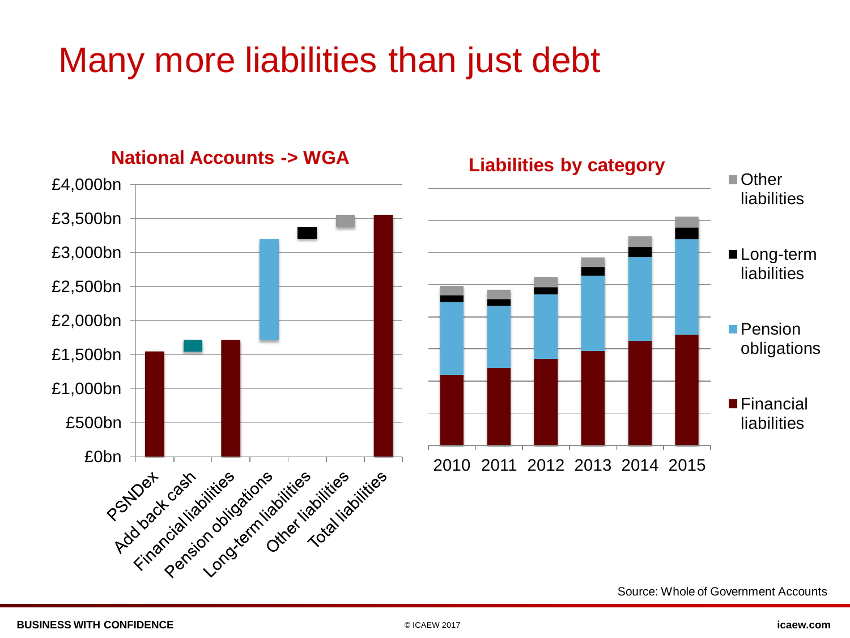### Many more liabilities than just debt



Source: Whole of Government Accounts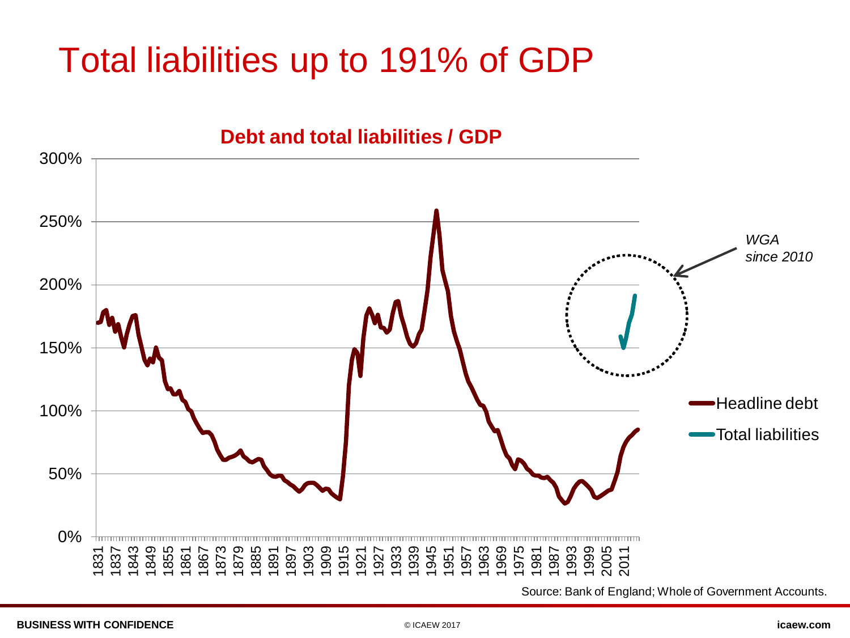### Total liabilities up to 191% of GDP



Source: Bank of England; Whole of Government Accounts.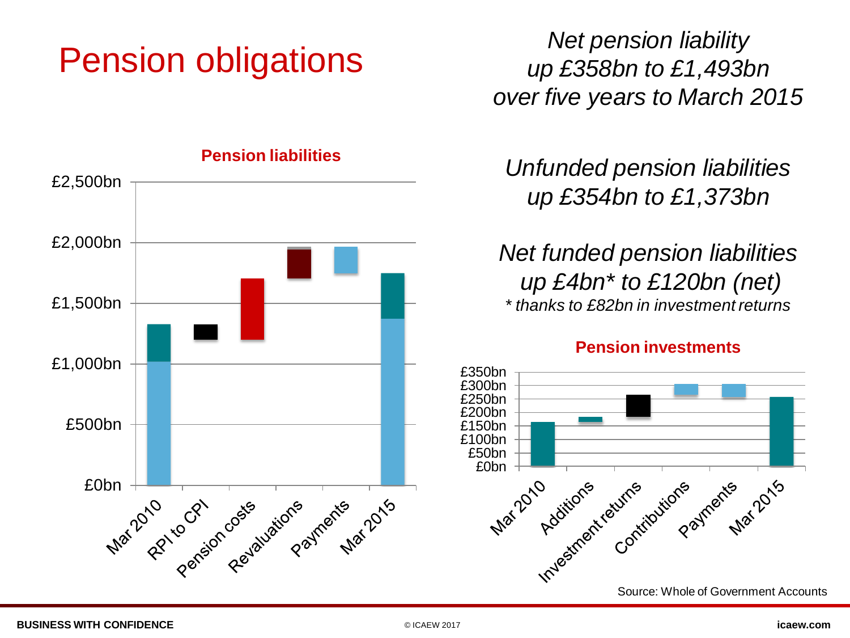### Pension obligations



**Pension liabilities**

*Net pension liability up £358bn to £1,493bn over five years to March 2015*

*Unfunded pension liabilities up £354bn to £1,373bn*

*Net funded pension liabilities up £4bn\* to £120bn (net) \* thanks to £82bn in investment returns*

#### **Pension investments**

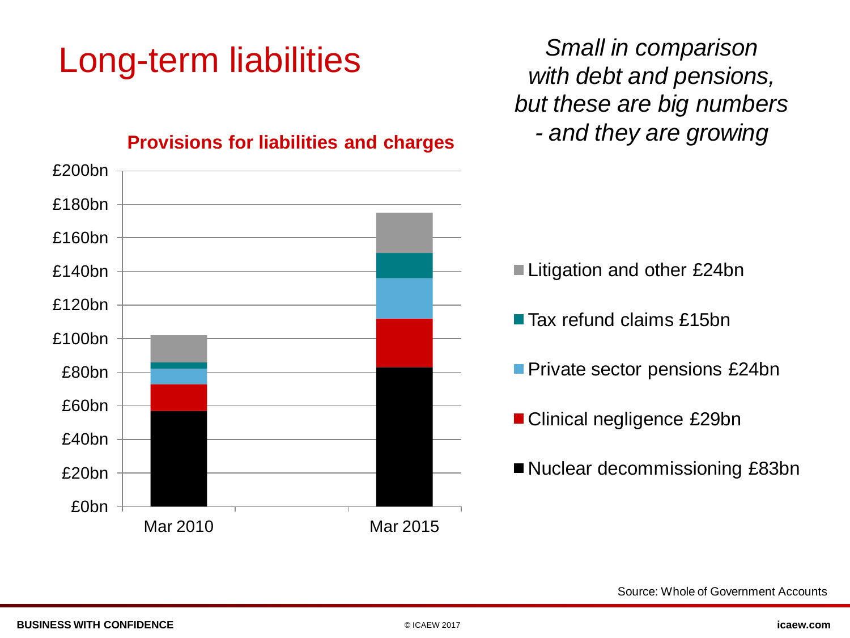## Long-term liabilities

*Small in comparison with debt and pensions, but these are big numbers - and they are growing*



#### **Provisions for liabilities and charges**

Source: Whole of Government Accounts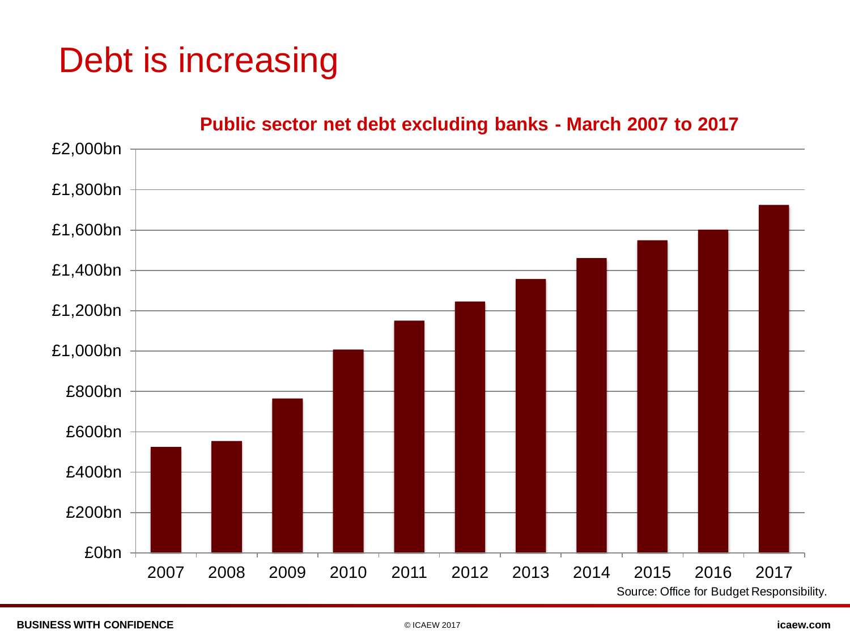### Debt is increasing

#### **Public sector net debt excluding banks - March 2007 to 2017**

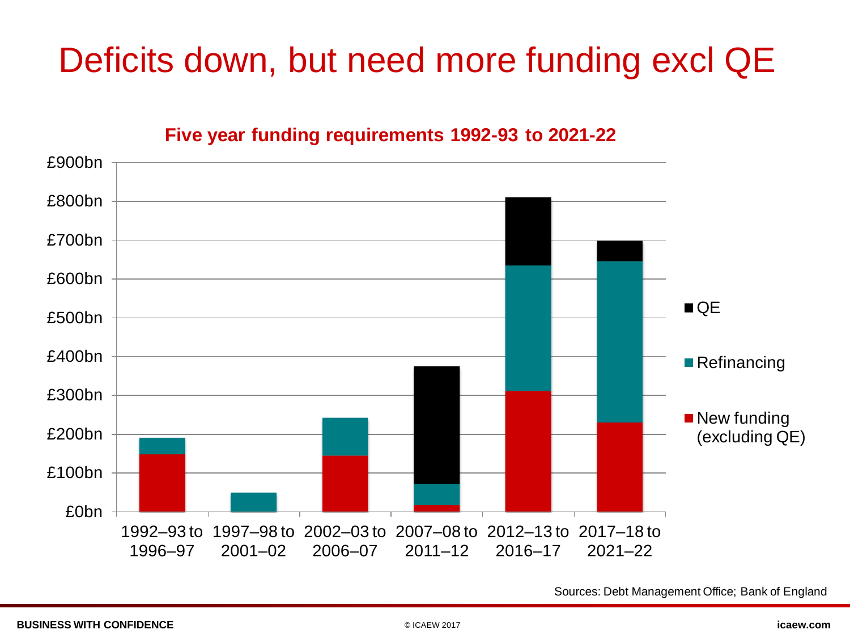### Deficits down, but need more funding excl QE

**Five year funding requirements 1992-93 to 2021-22**



Sources: Debt Management Office; Bank of England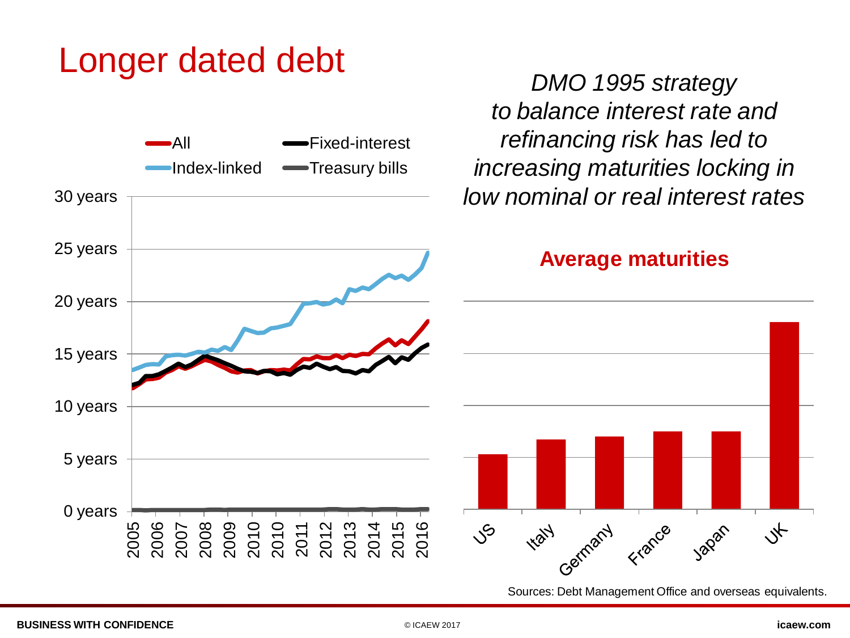#### Longer dated debt



Sources: Debt Management Office and overseas equivalents.

*DMO 1995 strategy*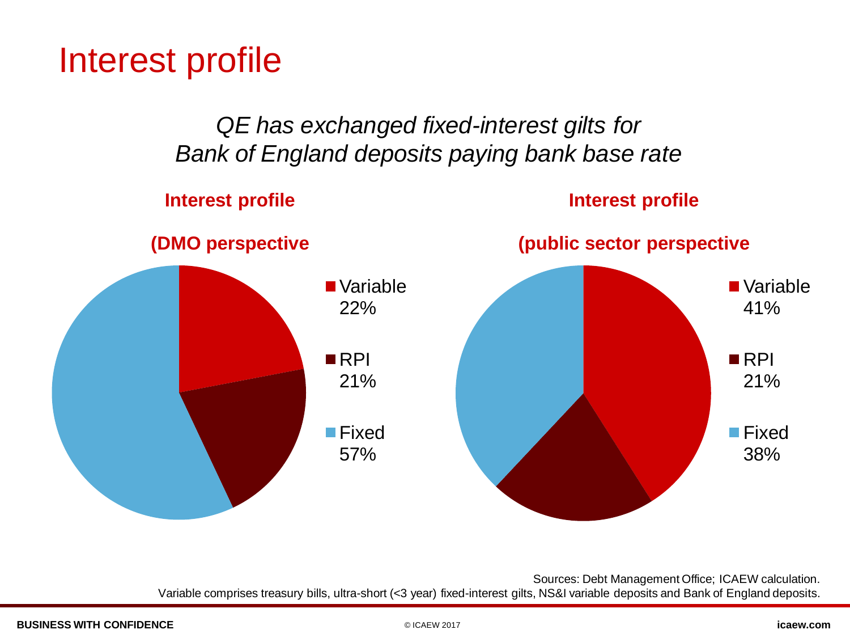Interest profile

*QE has exchanged fixed-interest gilts for Bank of England deposits paying bank base rate*

#### **Interest profile**

#### **Interest profile**



Sources: Debt Management Office; ICAEW calculation. Variable comprises treasury bills, ultra-short (<3 year) fixed-interest gilts, NS&I variable deposits and Bank of England deposits.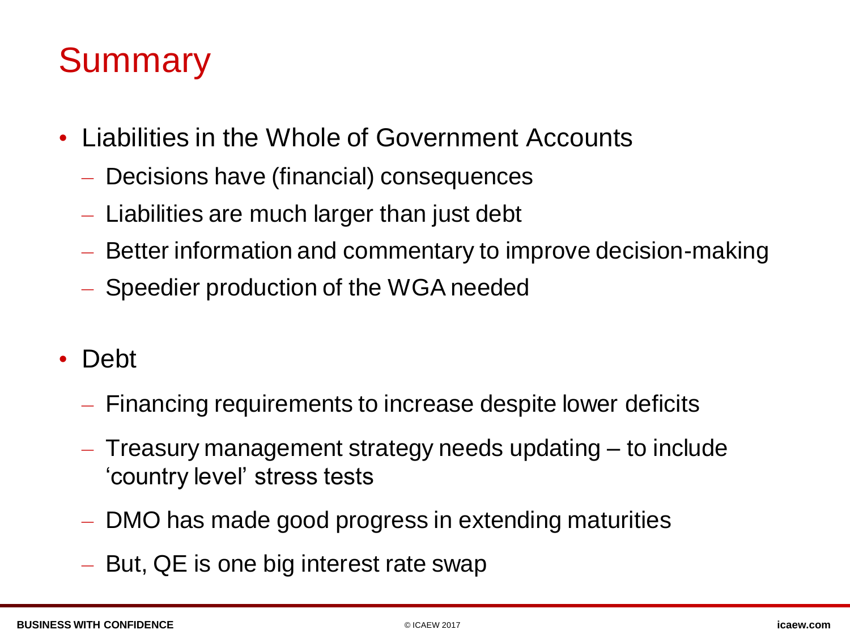### **Summary**

- Liabilities in the Whole of Government Accounts
	- Decisions have (financial) consequences
	- Liabilities are much larger than just debt
	- Better information and commentary to improve decision-making
	- Speedier production of the WGA needed
- Debt
	- Financing requirements to increase despite lower deficits
	- Treasury management strategy needs updating to include 'country level' stress tests
	- DMO has made good progress in extending maturities
	- But, QE is one big interest rate swap